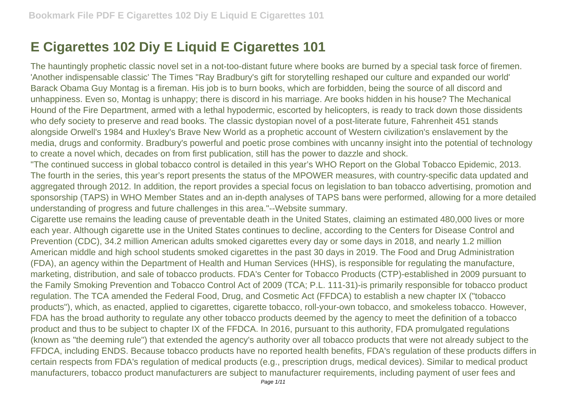## **E Cigarettes 102 Diy E Liquid E Cigarettes 101**

The hauntingly prophetic classic novel set in a not-too-distant future where books are burned by a special task force of firemen. 'Another indispensable classic' The Times ''Ray Bradbury's gift for storytelling reshaped our culture and expanded our world' Barack Obama Guy Montag is a fireman. His job is to burn books, which are forbidden, being the source of all discord and unhappiness. Even so, Montag is unhappy; there is discord in his marriage. Are books hidden in his house? The Mechanical Hound of the Fire Department, armed with a lethal hypodermic, escorted by helicopters, is ready to track down those dissidents who defy society to preserve and read books. The classic dystopian novel of a post-literate future, Fahrenheit 451 stands alongside Orwell's 1984 and Huxley's Brave New World as a prophetic account of Western civilization's enslavement by the media, drugs and conformity. Bradbury's powerful and poetic prose combines with uncanny insight into the potential of technology to create a novel which, decades on from first publication, still has the power to dazzle and shock.

"The continued success in global tobacco control is detailed in this year's WHO Report on the Global Tobacco Epidemic, 2013. The fourth in the series, this year's report presents the status of the MPOWER measures, with country-specific data updated and aggregated through 2012. In addition, the report provides a special focus on legislation to ban tobacco advertising, promotion and sponsorship (TAPS) in WHO Member States and an in-depth analyses of TAPS bans were performed, allowing for a more detailed understanding of progress and future challenges in this area."--Website summary.

Cigarette use remains the leading cause of preventable death in the United States, claiming an estimated 480,000 lives or more each year. Although cigarette use in the United States continues to decline, according to the Centers for Disease Control and Prevention (CDC), 34.2 million American adults smoked cigarettes every day or some days in 2018, and nearly 1.2 million American middle and high school students smoked cigarettes in the past 30 days in 2019. The Food and Drug Administration (FDA), an agency within the Department of Health and Human Services (HHS), is responsible for regulating the manufacture, marketing, distribution, and sale of tobacco products. FDA's Center for Tobacco Products (CTP)-established in 2009 pursuant to the Family Smoking Prevention and Tobacco Control Act of 2009 (TCA; P.L. 111-31)-is primarily responsible for tobacco product regulation. The TCA amended the Federal Food, Drug, and Cosmetic Act (FFDCA) to establish a new chapter IX ("tobacco products"), which, as enacted, applied to cigarettes, cigarette tobacco, roll-your-own tobacco, and smokeless tobacco. However, FDA has the broad authority to regulate any other tobacco products deemed by the agency to meet the definition of a tobacco product and thus to be subject to chapter IX of the FFDCA. In 2016, pursuant to this authority, FDA promulgated regulations (known as "the deeming rule") that extended the agency's authority over all tobacco products that were not already subject to the FFDCA, including ENDS. Because tobacco products have no reported health benefits, FDA's regulation of these products differs in certain respects from FDA's regulation of medical products (e.g., prescription drugs, medical devices). Similar to medical product manufacturers, tobacco product manufacturers are subject to manufacturer requirements, including payment of user fees and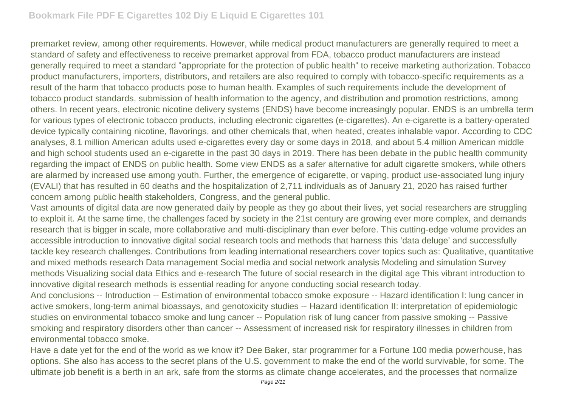premarket review, among other requirements. However, while medical product manufacturers are generally required to meet a standard of safety and effectiveness to receive premarket approval from FDA, tobacco product manufacturers are instead generally required to meet a standard "appropriate for the protection of public health" to receive marketing authorization. Tobacco product manufacturers, importers, distributors, and retailers are also required to comply with tobacco-specific requirements as a result of the harm that tobacco products pose to human health. Examples of such requirements include the development of tobacco product standards, submission of health information to the agency, and distribution and promotion restrictions, among others. In recent years, electronic nicotine delivery systems (ENDS) have become increasingly popular. ENDS is an umbrella term for various types of electronic tobacco products, including electronic cigarettes (e-cigarettes). An e-cigarette is a battery-operated device typically containing nicotine, flavorings, and other chemicals that, when heated, creates inhalable vapor. According to CDC analyses, 8.1 million American adults used e-cigarettes every day or some days in 2018, and about 5.4 million American middle and high school students used an e-cigarette in the past 30 days in 2019. There has been debate in the public health community regarding the impact of ENDS on public health. Some view ENDS as a safer alternative for adult cigarette smokers, while others are alarmed by increased use among youth. Further, the emergence of ecigarette, or vaping, product use-associated lung injury (EVALI) that has resulted in 60 deaths and the hospitalization of 2,711 individuals as of January 21, 2020 has raised further concern among public health stakeholders, Congress, and the general public.

Vast amounts of digital data are now generated daily by people as they go about their lives, yet social researchers are struggling to exploit it. At the same time, the challenges faced by society in the 21st century are growing ever more complex, and demands research that is bigger in scale, more collaborative and multi-disciplinary than ever before. This cutting-edge volume provides an accessible introduction to innovative digital social research tools and methods that harness this 'data deluge' and successfully tackle key research challenges. Contributions from leading international researchers cover topics such as: Qualitative, quantitative and mixed methods research Data management Social media and social network analysis Modeling and simulation Survey methods Visualizing social data Ethics and e-research The future of social research in the digital age This vibrant introduction to innovative digital research methods is essential reading for anyone conducting social research today.

And conclusions -- Introduction -- Estimation of environmental tobacco smoke exposure -- Hazard identification I: lung cancer in active smokers, long-term animal bioassays, and genotoxicity studies -- Hazard identification II: interpretation of epidemiologic studies on environmental tobacco smoke and lung cancer -- Population risk of lung cancer from passive smoking -- Passive smoking and respiratory disorders other than cancer -- Assessment of increased risk for respiratory illnesses in children from environmental tobacco smoke.

Have a date yet for the end of the world as we know it? Dee Baker, star programmer for a Fortune 100 media powerhouse, has options. She also has access to the secret plans of the U.S. government to make the end of the world survivable, for some. The ultimate job benefit is a berth in an ark, safe from the storms as climate change accelerates, and the processes that normalize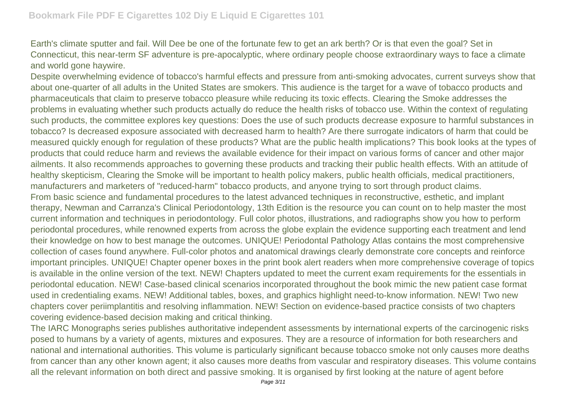Earth's climate sputter and fail. Will Dee be one of the fortunate few to get an ark berth? Or is that even the goal? Set in Connecticut, this near-term SF adventure is pre-apocalyptic, where ordinary people choose extraordinary ways to face a climate and world gone haywire.

Despite overwhelming evidence of tobacco's harmful effects and pressure from anti-smoking advocates, current surveys show that about one-quarter of all adults in the United States are smokers. This audience is the target for a wave of tobacco products and pharmaceuticals that claim to preserve tobacco pleasure while reducing its toxic effects. Clearing the Smoke addresses the problems in evaluating whether such products actually do reduce the health risks of tobacco use. Within the context of regulating such products, the committee explores key questions: Does the use of such products decrease exposure to harmful substances in tobacco? Is decreased exposure associated with decreased harm to health? Are there surrogate indicators of harm that could be measured quickly enough for regulation of these products? What are the public health implications? This book looks at the types of products that could reduce harm and reviews the available evidence for their impact on various forms of cancer and other major ailments. It also recommends approaches to governing these products and tracking their public health effects. With an attitude of healthy skepticism, Clearing the Smoke will be important to health policy makers, public health officials, medical practitioners, manufacturers and marketers of "reduced-harm" tobacco products, and anyone trying to sort through product claims. From basic science and fundamental procedures to the latest advanced techniques in reconstructive, esthetic, and implant therapy, Newman and Carranza's Clinical Periodontology, 13th Edition is the resource you can count on to help master the most current information and techniques in periodontology. Full color photos, illustrations, and radiographs show you how to perform periodontal procedures, while renowned experts from across the globe explain the evidence supporting each treatment and lend their knowledge on how to best manage the outcomes. UNIQUE! Periodontal Pathology Atlas contains the most comprehensive collection of cases found anywhere. Full-color photos and anatomical drawings clearly demonstrate core concepts and reinforce important principles. UNIQUE! Chapter opener boxes in the print book alert readers when more comprehensive coverage of topics is available in the online version of the text. NEW! Chapters updated to meet the current exam requirements for the essentials in periodontal education. NEW! Case-based clinical scenarios incorporated throughout the book mimic the new patient case format used in credentialing exams. NEW! Additional tables, boxes, and graphics highlight need-to-know information. NEW! Two new chapters cover periimplantitis and resolving inflammation. NEW! Section on evidence-based practice consists of two chapters covering evidence-based decision making and critical thinking.

The IARC Monographs series publishes authoritative independent assessments by international experts of the carcinogenic risks posed to humans by a variety of agents, mixtures and exposures. They are a resource of information for both researchers and national and international authorities. This volume is particularly significant because tobacco smoke not only causes more deaths from cancer than any other known agent; it also causes more deaths from vascular and respiratory diseases. This volume contains all the relevant information on both direct and passive smoking. It is organised by first looking at the nature of agent before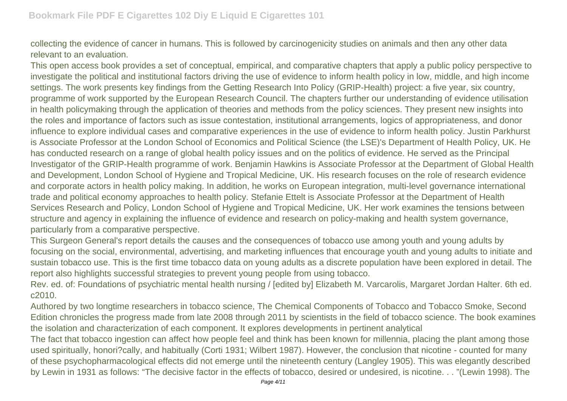collecting the evidence of cancer in humans. This is followed by carcinogenicity studies on animals and then any other data relevant to an evaluation.

This open access book provides a set of conceptual, empirical, and comparative chapters that apply a public policy perspective to investigate the political and institutional factors driving the use of evidence to inform health policy in low, middle, and high income settings. The work presents key findings from the Getting Research Into Policy (GRIP-Health) project: a five year, six country, programme of work supported by the European Research Council. The chapters further our understanding of evidence utilisation in health policymaking through the application of theories and methods from the policy sciences. They present new insights into the roles and importance of factors such as issue contestation, institutional arrangements, logics of appropriateness, and donor influence to explore individual cases and comparative experiences in the use of evidence to inform health policy. Justin Parkhurst is Associate Professor at the London School of Economics and Political Science (the LSE)'s Department of Health Policy, UK. He has conducted research on a range of global health policy issues and on the politics of evidence. He served as the Principal Investigator of the GRIP-Health programme of work. Benjamin Hawkins is Associate Professor at the Department of Global Health and Development, London School of Hygiene and Tropical Medicine, UK. His research focuses on the role of research evidence and corporate actors in health policy making. In addition, he works on European integration, multi-level governance international trade and political economy approaches to health policy. Stefanie Ettelt is Associate Professor at the Department of Health Services Research and Policy, London School of Hygiene and Tropical Medicine, UK. Her work examines the tensions between structure and agency in explaining the influence of evidence and research on policy-making and health system governance, particularly from a comparative perspective.

This Surgeon General's report details the causes and the consequences of tobacco use among youth and young adults by focusing on the social, environmental, advertising, and marketing influences that encourage youth and young adults to initiate and sustain tobacco use. This is the first time tobacco data on young adults as a discrete population have been explored in detail. The report also highlights successful strategies to prevent young people from using tobacco.

Rev. ed. of: Foundations of psychiatric mental health nursing / [edited by] Elizabeth M. Varcarolis, Margaret Jordan Halter. 6th ed. c2010.

Authored by two longtime researchers in tobacco science, The Chemical Components of Tobacco and Tobacco Smoke, Second Edition chronicles the progress made from late 2008 through 2011 by scientists in the field of tobacco science. The book examines the isolation and characterization of each component. It explores developments in pertinent analytical

The fact that tobacco ingestion can affect how people feel and think has been known for millennia, placing the plant among those used spiritually, honori?cally, and habitually (Corti 1931; Wilbert 1987). However, the conclusion that nicotine - counted for many of these psychopharmacological effects did not emerge until the nineteenth century (Langley 1905). This was elegantly described by Lewin in 1931 as follows: "The decisive factor in the effects of tobacco, desired or undesired, is nicotine. . . "(Lewin 1998). The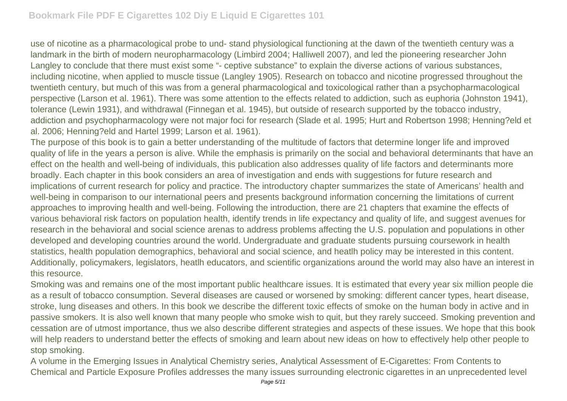use of nicotine as a pharmacological probe to und- stand physiological functioning at the dawn of the twentieth century was a landmark in the birth of modern neuropharmacology (Limbird 2004; Halliwell 2007), and led the pioneering researcher John Langley to conclude that there must exist some "- ceptive substance" to explain the diverse actions of various substances, including nicotine, when applied to muscle tissue (Langley 1905). Research on tobacco and nicotine progressed throughout the twentieth century, but much of this was from a general pharmacological and toxicological rather than a psychopharmacological perspective (Larson et al. 1961). There was some attention to the effects related to addiction, such as euphoria (Johnston 1941), tolerance (Lewin 1931), and withdrawal (Finnegan et al. 1945), but outside of research supported by the tobacco industry, addiction and psychopharmacology were not major foci for research (Slade et al. 1995; Hurt and Robertson 1998; Henning?eld et al. 2006; Henning?eld and Hartel 1999; Larson et al. 1961).

The purpose of this book is to gain a better understanding of the multitude of factors that determine longer life and improved quality of life in the years a person is alive. While the emphasis is primarily on the social and behavioral determinants that have an effect on the health and well-being of individuals, this publication also addresses quality of life factors and determinants more broadly. Each chapter in this book considers an area of investigation and ends with suggestions for future research and implications of current research for policy and practice. The introductory chapter summarizes the state of Americans' health and well-being in comparison to our international peers and presents background information concerning the limitations of current approaches to improving health and well-being. Following the introduction, there are 21 chapters that examine the effects of various behavioral risk factors on population health, identify trends in life expectancy and quality of life, and suggest avenues for research in the behavioral and social science arenas to address problems affecting the U.S. population and populations in other developed and developing countries around the world. Undergraduate and graduate students pursuing coursework in health statistics, health population demographics, behavioral and social science, and heatlh policy may be interested in this content. Additionally, policymakers, legislators, heatlh educators, and scientific organizations around the world may also have an interest in this resource.

Smoking was and remains one of the most important public healthcare issues. It is estimated that every year six million people die as a result of tobacco consumption. Several diseases are caused or worsened by smoking: different cancer types, heart disease, stroke, lung diseases and others. In this book we describe the different toxic effects of smoke on the human body in active and in passive smokers. It is also well known that many people who smoke wish to quit, but they rarely succeed. Smoking prevention and cessation are of utmost importance, thus we also describe different strategies and aspects of these issues. We hope that this book will help readers to understand better the effects of smoking and learn about new ideas on how to effectively help other people to stop smoking.

A volume in the Emerging Issues in Analytical Chemistry series, Analytical Assessment of E-Cigarettes: From Contents to Chemical and Particle Exposure Profiles addresses the many issues surrounding electronic cigarettes in an unprecedented level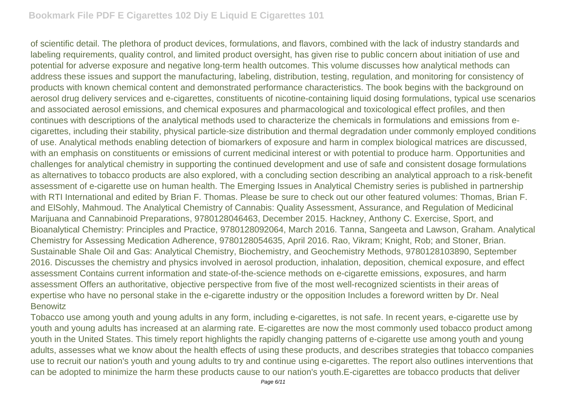of scientific detail. The plethora of product devices, formulations, and flavors, combined with the lack of industry standards and labeling requirements, quality control, and limited product oversight, has given rise to public concern about initiation of use and potential for adverse exposure and negative long-term health outcomes. This volume discusses how analytical methods can address these issues and support the manufacturing, labeling, distribution, testing, regulation, and monitoring for consistency of products with known chemical content and demonstrated performance characteristics. The book begins with the background on aerosol drug delivery services and e-cigarettes, constituents of nicotine-containing liquid dosing formulations, typical use scenarios and associated aerosol emissions, and chemical exposures and pharmacological and toxicological effect profiles, and then continues with descriptions of the analytical methods used to characterize the chemicals in formulations and emissions from ecigarettes, including their stability, physical particle-size distribution and thermal degradation under commonly employed conditions of use. Analytical methods enabling detection of biomarkers of exposure and harm in complex biological matrices are discussed, with an emphasis on constituents or emissions of current medicinal interest or with potential to produce harm. Opportunities and challenges for analytical chemistry in supporting the continued development and use of safe and consistent dosage formulations as alternatives to tobacco products are also explored, with a concluding section describing an analytical approach to a risk-benefit assessment of e-cigarette use on human health. The Emerging Issues in Analytical Chemistry series is published in partnership with RTI International and edited by Brian F. Thomas. Please be sure to check out our other featured volumes: Thomas, Brian F. and ElSohly, Mahmoud. The Analytical Chemistry of Cannabis: Quality Assessment, Assurance, and Regulation of Medicinal Marijuana and Cannabinoid Preparations, 9780128046463, December 2015. Hackney, Anthony C. Exercise, Sport, and Bioanalytical Chemistry: Principles and Practice, 9780128092064, March 2016. Tanna, Sangeeta and Lawson, Graham. Analytical Chemistry for Assessing Medication Adherence, 9780128054635, April 2016. Rao, Vikram; Knight, Rob; and Stoner, Brian. Sustainable Shale Oil and Gas: Analytical Chemistry, Biochemistry, and Geochemistry Methods, 9780128103890, September 2016. Discusses the chemistry and physics involved in aerosol production, inhalation, deposition, chemical exposure, and effect assessment Contains current information and state-of-the-science methods on e-cigarette emissions, exposures, and harm assessment Offers an authoritative, objective perspective from five of the most well-recognized scientists in their areas of expertise who have no personal stake in the e-cigarette industry or the opposition Includes a foreword written by Dr. Neal **Benowitz** 

Tobacco use among youth and young adults in any form, including e-cigarettes, is not safe. In recent years, e-cigarette use by youth and young adults has increased at an alarming rate. E-cigarettes are now the most commonly used tobacco product among youth in the United States. This timely report highlights the rapidly changing patterns of e-cigarette use among youth and young adults, assesses what we know about the health effects of using these products, and describes strategies that tobacco companies use to recruit our nation's youth and young adults to try and continue using e-cigarettes. The report also outlines interventions that can be adopted to minimize the harm these products cause to our nation's youth.E-cigarettes are tobacco products that deliver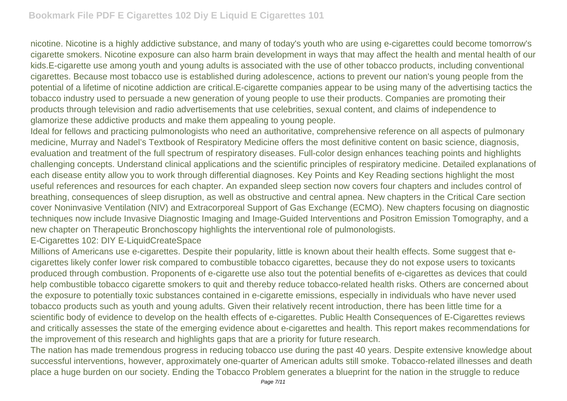nicotine. Nicotine is a highly addictive substance, and many of today's youth who are using e-cigarettes could become tomorrow's cigarette smokers. Nicotine exposure can also harm brain development in ways that may affect the health and mental health of our kids.E-cigarette use among youth and young adults is associated with the use of other tobacco products, including conventional cigarettes. Because most tobacco use is established during adolescence, actions to prevent our nation's young people from the potential of a lifetime of nicotine addiction are critical.E-cigarette companies appear to be using many of the advertising tactics the tobacco industry used to persuade a new generation of young people to use their products. Companies are promoting their products through television and radio advertisements that use celebrities, sexual content, and claims of independence to glamorize these addictive products and make them appealing to young people.

Ideal for fellows and practicing pulmonologists who need an authoritative, comprehensive reference on all aspects of pulmonary medicine, Murray and Nadel's Textbook of Respiratory Medicine offers the most definitive content on basic science, diagnosis, evaluation and treatment of the full spectrum of respiratory diseases. Full-color design enhances teaching points and highlights challenging concepts. Understand clinical applications and the scientific principles of respiratory medicine. Detailed explanations of each disease entity allow you to work through differential diagnoses. Key Points and Key Reading sections highlight the most useful references and resources for each chapter. An expanded sleep section now covers four chapters and includes control of breathing, consequences of sleep disruption, as well as obstructive and central apnea. New chapters in the Critical Care section cover Noninvasive Ventilation (NIV) and Extracorporeal Support of Gas Exchange (ECMO). New chapters focusing on diagnostic techniques now include Invasive Diagnostic Imaging and Image-Guided Interventions and Positron Emission Tomography, and a new chapter on Therapeutic Bronchoscopy highlights the interventional role of pulmonologists.

## E-Cigarettes 102: DIY E-LiquidCreateSpace

Millions of Americans use e-cigarettes. Despite their popularity, little is known about their health effects. Some suggest that ecigarettes likely confer lower risk compared to combustible tobacco cigarettes, because they do not expose users to toxicants produced through combustion. Proponents of e-cigarette use also tout the potential benefits of e-cigarettes as devices that could help combustible tobacco cigarette smokers to quit and thereby reduce tobacco-related health risks. Others are concerned about the exposure to potentially toxic substances contained in e-cigarette emissions, especially in individuals who have never used tobacco products such as youth and young adults. Given their relatively recent introduction, there has been little time for a scientific body of evidence to develop on the health effects of e-cigarettes. Public Health Consequences of E-Cigarettes reviews and critically assesses the state of the emerging evidence about e-cigarettes and health. This report makes recommendations for the improvement of this research and highlights gaps that are a priority for future research.

The nation has made tremendous progress in reducing tobacco use during the past 40 years. Despite extensive knowledge about successful interventions, however, approximately one-quarter of American adults still smoke. Tobacco-related illnesses and death place a huge burden on our society. Ending the Tobacco Problem generates a blueprint for the nation in the struggle to reduce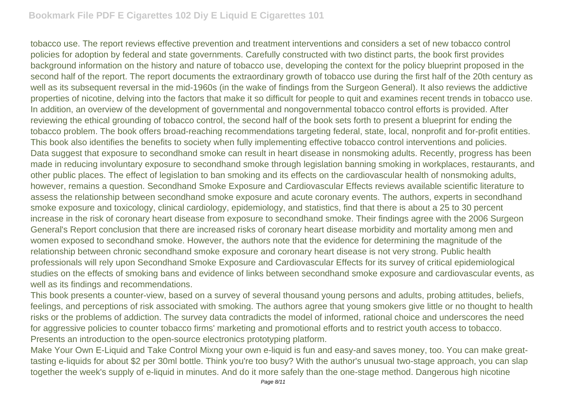tobacco use. The report reviews effective prevention and treatment interventions and considers a set of new tobacco control policies for adoption by federal and state governments. Carefully constructed with two distinct parts, the book first provides background information on the history and nature of tobacco use, developing the context for the policy blueprint proposed in the second half of the report. The report documents the extraordinary growth of tobacco use during the first half of the 20th century as well as its subsequent reversal in the mid-1960s (in the wake of findings from the Surgeon General). It also reviews the addictive properties of nicotine, delving into the factors that make it so difficult for people to quit and examines recent trends in tobacco use. In addition, an overview of the development of governmental and nongovernmental tobacco control efforts is provided. After reviewing the ethical grounding of tobacco control, the second half of the book sets forth to present a blueprint for ending the tobacco problem. The book offers broad-reaching recommendations targeting federal, state, local, nonprofit and for-profit entities. This book also identifies the benefits to society when fully implementing effective tobacco control interventions and policies. Data suggest that exposure to secondhand smoke can result in heart disease in nonsmoking adults. Recently, progress has been made in reducing involuntary exposure to secondhand smoke through legislation banning smoking in workplaces, restaurants, and other public places. The effect of legislation to ban smoking and its effects on the cardiovascular health of nonsmoking adults, however, remains a question. Secondhand Smoke Exposure and Cardiovascular Effects reviews available scientific literature to assess the relationship between secondhand smoke exposure and acute coronary events. The authors, experts in secondhand smoke exposure and toxicology, clinical cardiology, epidemiology, and statistics, find that there is about a 25 to 30 percent increase in the risk of coronary heart disease from exposure to secondhand smoke. Their findings agree with the 2006 Surgeon General's Report conclusion that there are increased risks of coronary heart disease morbidity and mortality among men and women exposed to secondhand smoke. However, the authors note that the evidence for determining the magnitude of the relationship between chronic secondhand smoke exposure and coronary heart disease is not very strong. Public health professionals will rely upon Secondhand Smoke Exposure and Cardiovascular Effects for its survey of critical epidemiological studies on the effects of smoking bans and evidence of links between secondhand smoke exposure and cardiovascular events, as well as its findings and recommendations.

This book presents a counter-view, based on a survey of several thousand young persons and adults, probing attitudes, beliefs, feelings, and perceptions of risk associated with smoking. The authors agree that young smokers give little or no thought to health risks or the problems of addiction. The survey data contradicts the model of informed, rational choice and underscores the need for aggressive policies to counter tobacco firms' marketing and promotional efforts and to restrict youth access to tobacco. Presents an introduction to the open-source electronics prototyping platform.

Make Your Own E-Liquid and Take Control Mixng your own e-liquid is fun and easy-and saves money, too. You can make greattasting e-liquids for about \$2 per 30ml bottle. Think you're too busy? With the author's unusual two-stage approach, you can slap together the week's supply of e-liquid in minutes. And do it more safely than the one-stage method. Dangerous high nicotine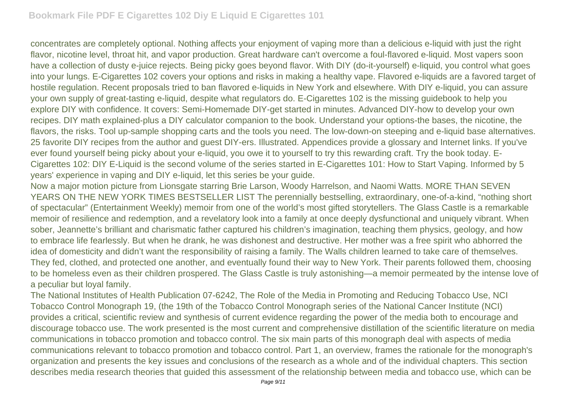concentrates are completely optional. Nothing affects your enjoyment of vaping more than a delicious e-liquid with just the right flavor, nicotine level, throat hit, and vapor production. Great hardware can't overcome a foul-flavored e-liquid. Most vapers soon have a collection of dusty e-juice rejects. Being picky goes beyond flavor. With DIY (do-it-yourself) e-liquid, you control what goes into your lungs. E-Cigarettes 102 covers your options and risks in making a healthy vape. Flavored e-liquids are a favored target of hostile regulation. Recent proposals tried to ban flavored e-liquids in New York and elsewhere. With DIY e-liquid, you can assure your own supply of great-tasting e-liquid, despite what regulators do. E-Cigarettes 102 is the missing guidebook to help you explore DIY with confidence. It covers: Semi-Homemade DIY-get started in minutes. Advanced DIY-how to develop your own recipes. DIY math explained-plus a DIY calculator companion to the book. Understand your options-the bases, the nicotine, the flavors, the risks. Tool up-sample shopping carts and the tools you need. The low-down-on steeping and e-liquid base alternatives. 25 favorite DIY recipes from the author and guest DIY-ers. Illustrated. Appendices provide a glossary and Internet links. If you've ever found yourself being picky about your e-liquid, you owe it to yourself to try this rewarding craft. Try the book today. E-Cigarettes 102: DIY E-Liquid is the second volume of the series started in E-Cigarettes 101: How to Start Vaping. Informed by 5 years' experience in vaping and DIY e-liquid, let this series be your guide.

Now a major motion picture from Lionsgate starring Brie Larson, Woody Harrelson, and Naomi Watts. MORE THAN SEVEN YEARS ON THE NEW YORK TIMES BESTSELLER LIST The perennially bestselling, extraordinary, one-of-a-kind, "nothing short of spectacular" (Entertainment Weekly) memoir from one of the world's most gifted storytellers. The Glass Castle is a remarkable memoir of resilience and redemption, and a revelatory look into a family at once deeply dysfunctional and uniquely vibrant. When sober, Jeannette's brilliant and charismatic father captured his children's imagination, teaching them physics, geology, and how to embrace life fearlessly. But when he drank, he was dishonest and destructive. Her mother was a free spirit who abhorred the idea of domesticity and didn't want the responsibility of raising a family. The Walls children learned to take care of themselves. They fed, clothed, and protected one another, and eventually found their way to New York. Their parents followed them, choosing to be homeless even as their children prospered. The Glass Castle is truly astonishing—a memoir permeated by the intense love of a peculiar but loyal family.

The National Institutes of Health Publication 07-6242, The Role of the Media in Promoting and Reducing Tobacco Use, NCI Tobacco Control Monograph 19, (the 19th of the Tobacco Control Monograph series of the National Cancer Institute (NCI) provides a critical, scientific review and synthesis of current evidence regarding the power of the media both to encourage and discourage tobacco use. The work presented is the most current and comprehensive distillation of the scientific literature on media communications in tobacco promotion and tobacco control. The six main parts of this monograph deal with aspects of media communications relevant to tobacco promotion and tobacco control. Part 1, an overview, frames the rationale for the monograph's organization and presents the key issues and conclusions of the research as a whole and of the individual chapters. This section describes media research theories that guided this assessment of the relationship between media and tobacco use, which can be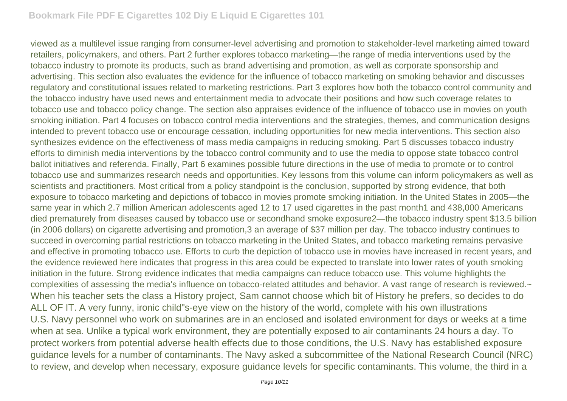viewed as a multilevel issue ranging from consumer-level advertising and promotion to stakeholder-level marketing aimed toward retailers, policymakers, and others. Part 2 further explores tobacco marketing—the range of media interventions used by the tobacco industry to promote its products, such as brand advertising and promotion, as well as corporate sponsorship and advertising. This section also evaluates the evidence for the influence of tobacco marketing on smoking behavior and discusses regulatory and constitutional issues related to marketing restrictions. Part 3 explores how both the tobacco control community and the tobacco industry have used news and entertainment media to advocate their positions and how such coverage relates to tobacco use and tobacco policy change. The section also appraises evidence of the influence of tobacco use in movies on youth smoking initiation. Part 4 focuses on tobacco control media interventions and the strategies, themes, and communication designs intended to prevent tobacco use or encourage cessation, including opportunities for new media interventions. This section also synthesizes evidence on the effectiveness of mass media campaigns in reducing smoking. Part 5 discusses tobacco industry efforts to diminish media interventions by the tobacco control community and to use the media to oppose state tobacco control ballot initiatives and referenda. Finally, Part 6 examines possible future directions in the use of media to promote or to control tobacco use and summarizes research needs and opportunities. Key lessons from this volume can inform policymakers as well as scientists and practitioners. Most critical from a policy standpoint is the conclusion, supported by strong evidence, that both exposure to tobacco marketing and depictions of tobacco in movies promote smoking initiation. In the United States in 2005—the same year in which 2.7 million American adolescents aged 12 to 17 used cigarettes in the past month1 and 438,000 Americans died prematurely from diseases caused by tobacco use or secondhand smoke exposure2—the tobacco industry spent \$13.5 billion (in 2006 dollars) on cigarette advertising and promotion,3 an average of \$37 million per day. The tobacco industry continues to succeed in overcoming partial restrictions on tobacco marketing in the United States, and tobacco marketing remains pervasive and effective in promoting tobacco use. Efforts to curb the depiction of tobacco use in movies have increased in recent years, and the evidence reviewed here indicates that progress in this area could be expected to translate into lower rates of youth smoking initiation in the future. Strong evidence indicates that media campaigns can reduce tobacco use. This volume highlights the complexities of assessing the media's influence on tobacco-related attitudes and behavior. A vast range of research is reviewed. $\sim$ When his teacher sets the class a History project, Sam cannot choose which bit of History he prefers, so decides to do ALL OF IT. A very funny, ironic child"s-eye view on the history of the world, complete with his own illustrations U.S. Navy personnel who work on submarines are in an enclosed and isolated environment for days or weeks at a time when at sea. Unlike a typical work environment, they are potentially exposed to air contaminants 24 hours a day. To protect workers from potential adverse health effects due to those conditions, the U.S. Navy has established exposure guidance levels for a number of contaminants. The Navy asked a subcommittee of the National Research Council (NRC) to review, and develop when necessary, exposure guidance levels for specific contaminants. This volume, the third in a